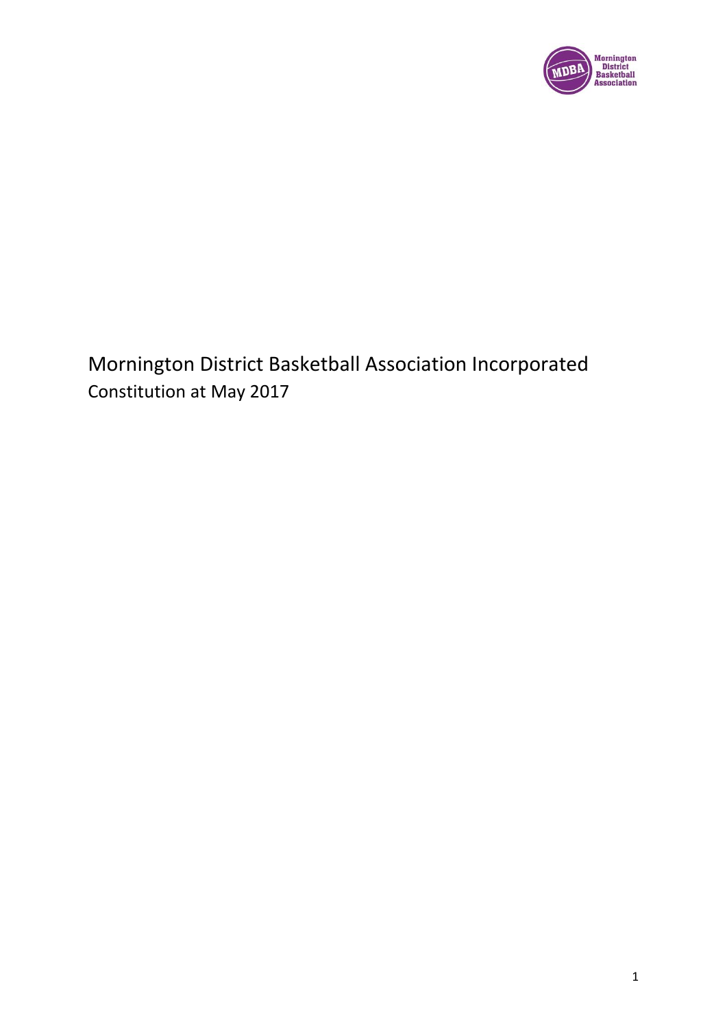

Mornington District Basketball Association Incorporated Constitution at May 2017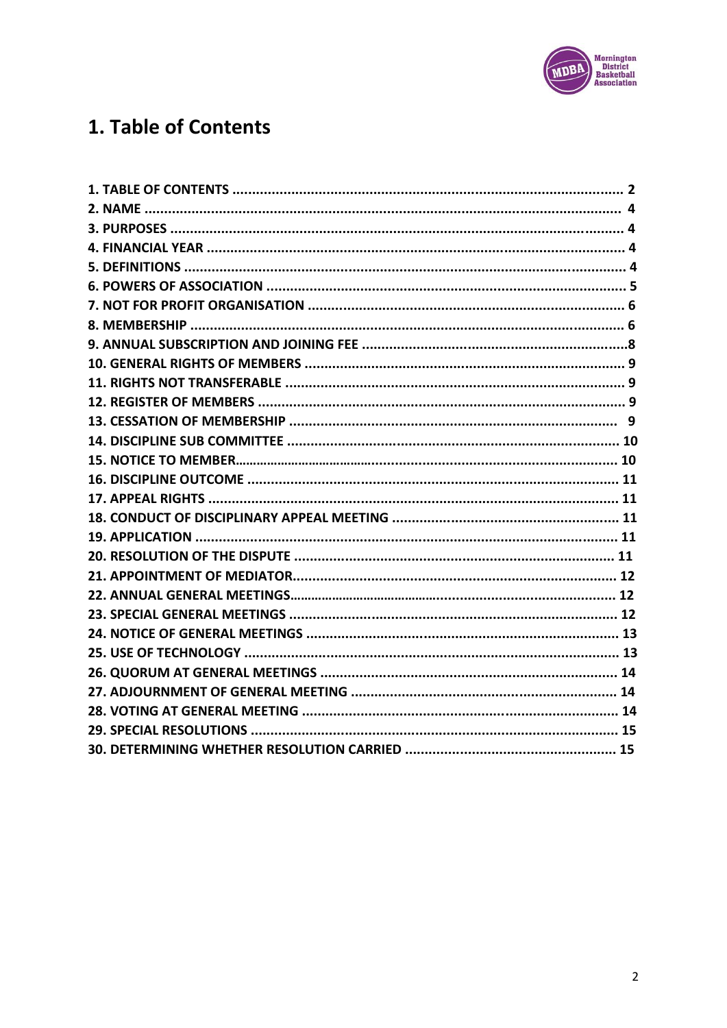

# 1. Table of Contents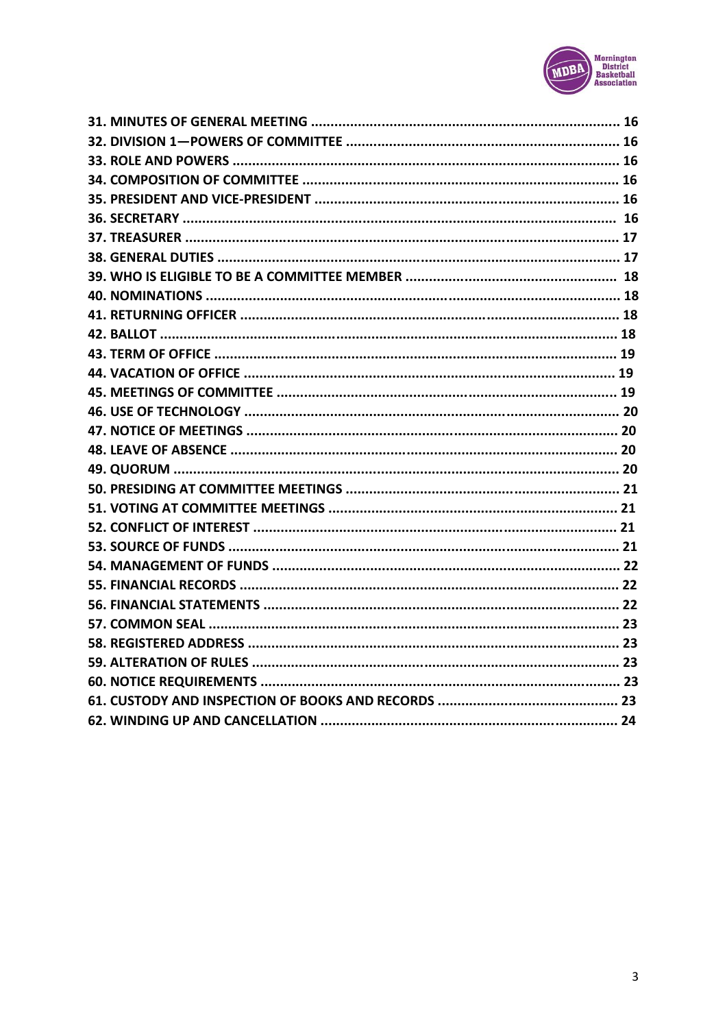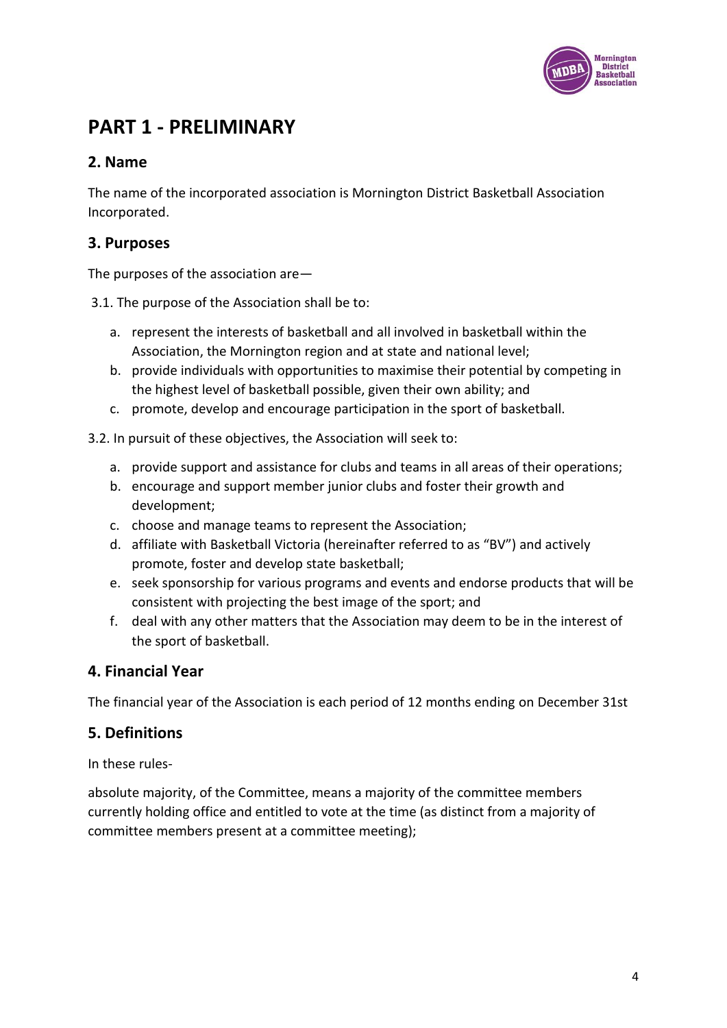

## **PART 1 - PRELIMINARY**

### **2. Name**

The name of the incorporated association is Mornington District Basketball Association Incorporated.

### **3. Purposes**

The purposes of the association are—

3.1. The purpose of the Association shall be to:

- a. represent the interests of basketball and all involved in basketball within the Association, the Mornington region and at state and national level;
- b. provide individuals with opportunities to maximise their potential by competing in the highest level of basketball possible, given their own ability; and
- c. promote, develop and encourage participation in the sport of basketball.

3.2. In pursuit of these objectives, the Association will seek to:

- a. provide support and assistance for clubs and teams in all areas of their operations;
- b. encourage and support member junior clubs and foster their growth and development;
- c. choose and manage teams to represent the Association;
- d. affiliate with Basketball Victoria (hereinafter referred to as "BV") and actively promote, foster and develop state basketball;
- e. seek sponsorship for various programs and events and endorse products that will be consistent with projecting the best image of the sport; and
- f. deal with any other matters that the Association may deem to be in the interest of the sport of basketball.

### **4. Financial Year**

The financial year of the Association is each period of 12 months ending on December 31st

### **5. Definitions**

In these rules-

absolute majority, of the Committee, means a majority of the committee members currently holding office and entitled to vote at the time (as distinct from a majority of committee members present at a committee meeting);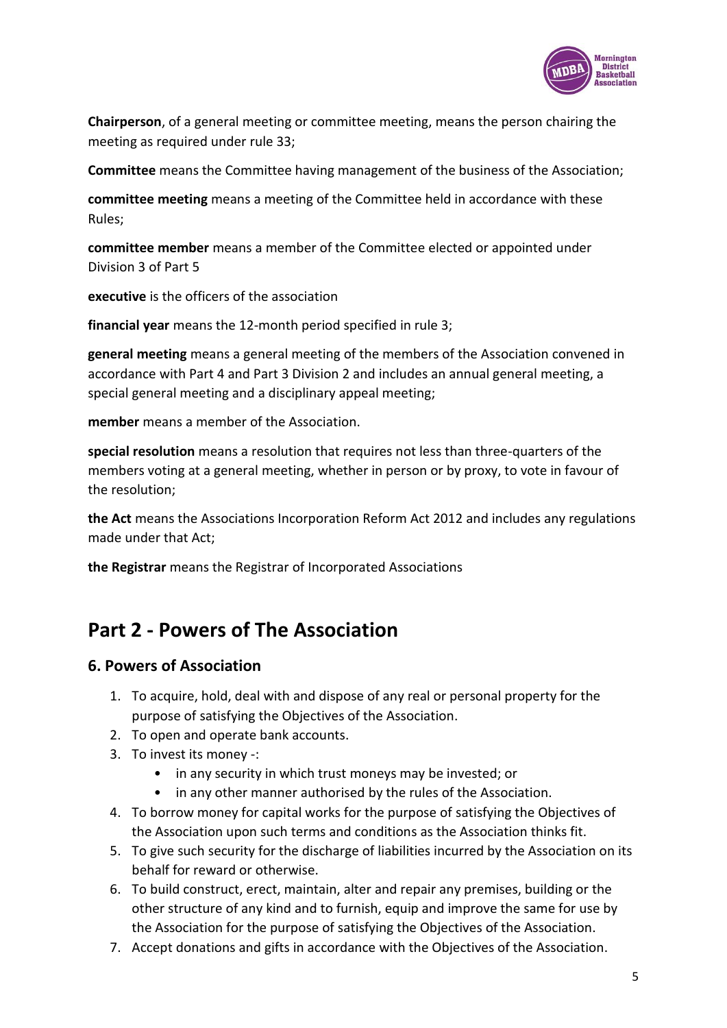

**Chairperson**, of a general meeting or committee meeting, means the person chairing the meeting as required under rule 33;

**Committee** means the Committee having management of the business of the Association;

**committee meeting** means a meeting of the Committee held in accordance with these Rules;

**committee member** means a member of the Committee elected or appointed under Division 3 of Part 5

**executive** is the officers of the association

**financial year** means the 12-month period specified in rule 3;

**general meeting** means a general meeting of the members of the Association convened in accordance with Part 4 and Part 3 Division 2 and includes an annual general meeting, a special general meeting and a disciplinary appeal meeting;

**member** means a member of the Association.

**special resolution** means a resolution that requires not less than three-quarters of the members voting at a general meeting, whether in person or by proxy, to vote in favour of the resolution;

**the Act** means the Associations Incorporation Reform Act 2012 and includes any regulations made under that Act;

**the Registrar** means the Registrar of Incorporated Associations

## **Part 2 - Powers of The Association**

#### **6. Powers of Association**

- 1. To acquire, hold, deal with and dispose of any real or personal property for the purpose of satisfying the Objectives of the Association.
- 2. To open and operate bank accounts.
- 3. To invest its money -:
	- in any security in which trust moneys may be invested; or
	- in any other manner authorised by the rules of the Association.
- 4. To borrow money for capital works for the purpose of satisfying the Objectives of the Association upon such terms and conditions as the Association thinks fit.
- 5. To give such security for the discharge of liabilities incurred by the Association on its behalf for reward or otherwise.
- 6. To build construct, erect, maintain, alter and repair any premises, building or the other structure of any kind and to furnish, equip and improve the same for use by the Association for the purpose of satisfying the Objectives of the Association.
- 7. Accept donations and gifts in accordance with the Objectives of the Association.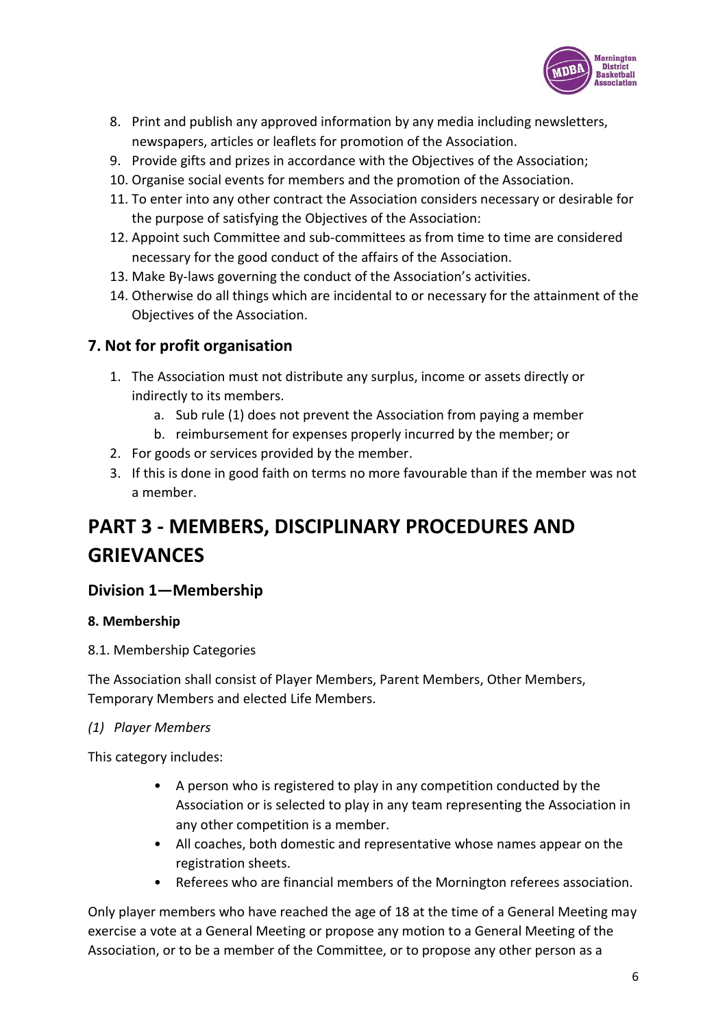

- 8. Print and publish any approved information by any media including newsletters, newspapers, articles or leaflets for promotion of the Association.
- 9. Provide gifts and prizes in accordance with the Objectives of the Association;
- 10. Organise social events for members and the promotion of the Association.
- 11. To enter into any other contract the Association considers necessary or desirable for the purpose of satisfying the Objectives of the Association:
- 12. Appoint such Committee and sub-committees as from time to time are considered necessary for the good conduct of the affairs of the Association.
- 13. Make By-laws governing the conduct of the Association's activities.
- 14. Otherwise do all things which are incidental to or necessary for the attainment of the Objectives of the Association.

### **7. Not for profit organisation**

- 1. The Association must not distribute any surplus, income or assets directly or indirectly to its members.
	- a. Sub rule (1) does not prevent the Association from paying a member
	- b. reimbursement for expenses properly incurred by the member; or
- 2. For goods or services provided by the member.
- 3. If this is done in good faith on terms no more favourable than if the member was not a member.

# **PART 3 - MEMBERS, DISCIPLINARY PROCEDURES AND GRIEVANCES**

### **Division 1—Membership**

#### **8. Membership**

8.1. Membership Categories

The Association shall consist of Player Members, Parent Members, Other Members, Temporary Members and elected Life Members.

#### *(1) Player Members*

This category includes:

- A person who is registered to play in any competition conducted by the Association or is selected to play in any team representing the Association in any other competition is a member.
- All coaches, both domestic and representative whose names appear on the registration sheets.
- Referees who are financial members of the Mornington referees association.

Only player members who have reached the age of 18 at the time of a General Meeting may exercise a vote at a General Meeting or propose any motion to a General Meeting of the Association, or to be a member of the Committee, or to propose any other person as a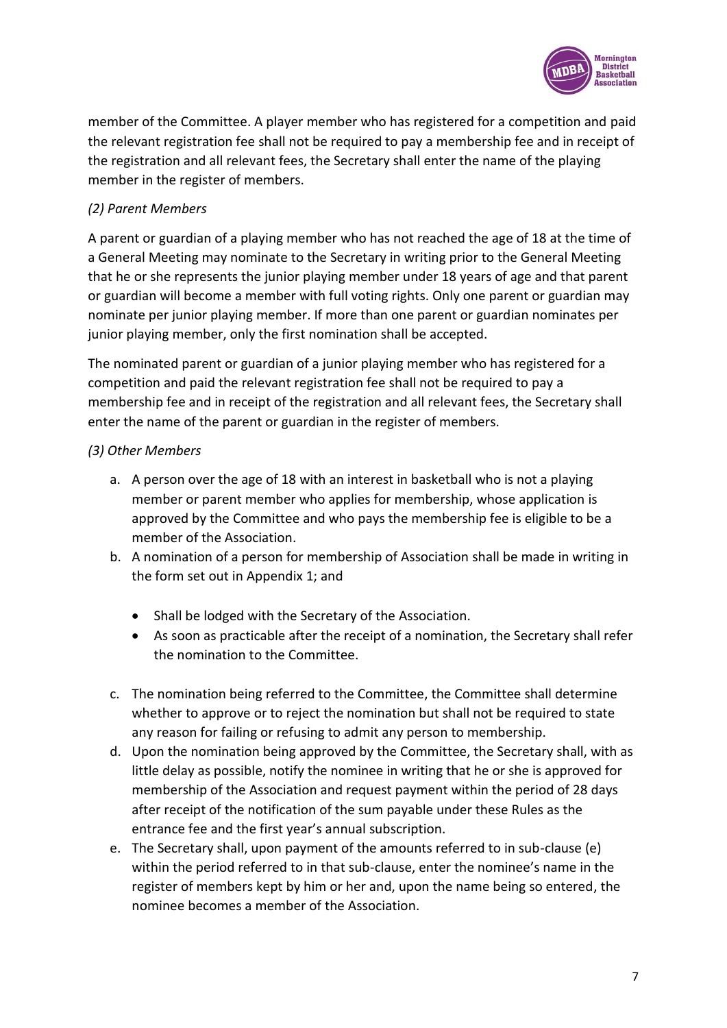

member of the Committee. A player member who has registered for a competition and paid the relevant registration fee shall not be required to pay a membership fee and in receipt of the registration and all relevant fees, the Secretary shall enter the name of the playing member in the register of members.

#### *(2) Parent Members*

A parent or guardian of a playing member who has not reached the age of 18 at the time of a General Meeting may nominate to the Secretary in writing prior to the General Meeting that he or she represents the junior playing member under 18 years of age and that parent or guardian will become a member with full voting rights. Only one parent or guardian may nominate per junior playing member. If more than one parent or guardian nominates per junior playing member, only the first nomination shall be accepted.

The nominated parent or guardian of a junior playing member who has registered for a competition and paid the relevant registration fee shall not be required to pay a membership fee and in receipt of the registration and all relevant fees, the Secretary shall enter the name of the parent or guardian in the register of members.

#### *(3) Other Members*

- a. A person over the age of 18 with an interest in basketball who is not a playing member or parent member who applies for membership, whose application is approved by the Committee and who pays the membership fee is eligible to be a member of the Association.
- b. A nomination of a person for membership of Association shall be made in writing in the form set out in Appendix 1; and
	- Shall be lodged with the Secretary of the Association.
	- As soon as practicable after the receipt of a nomination, the Secretary shall refer the nomination to the Committee.
- c. The nomination being referred to the Committee, the Committee shall determine whether to approve or to reject the nomination but shall not be required to state any reason for failing or refusing to admit any person to membership.
- d. Upon the nomination being approved by the Committee, the Secretary shall, with as little delay as possible, notify the nominee in writing that he or she is approved for membership of the Association and request payment within the period of 28 days after receipt of the notification of the sum payable under these Rules as the entrance fee and the first year's annual subscription.
- e. The Secretary shall, upon payment of the amounts referred to in sub-clause (e) within the period referred to in that sub-clause, enter the nominee's name in the register of members kept by him or her and, upon the name being so entered, the nominee becomes a member of the Association.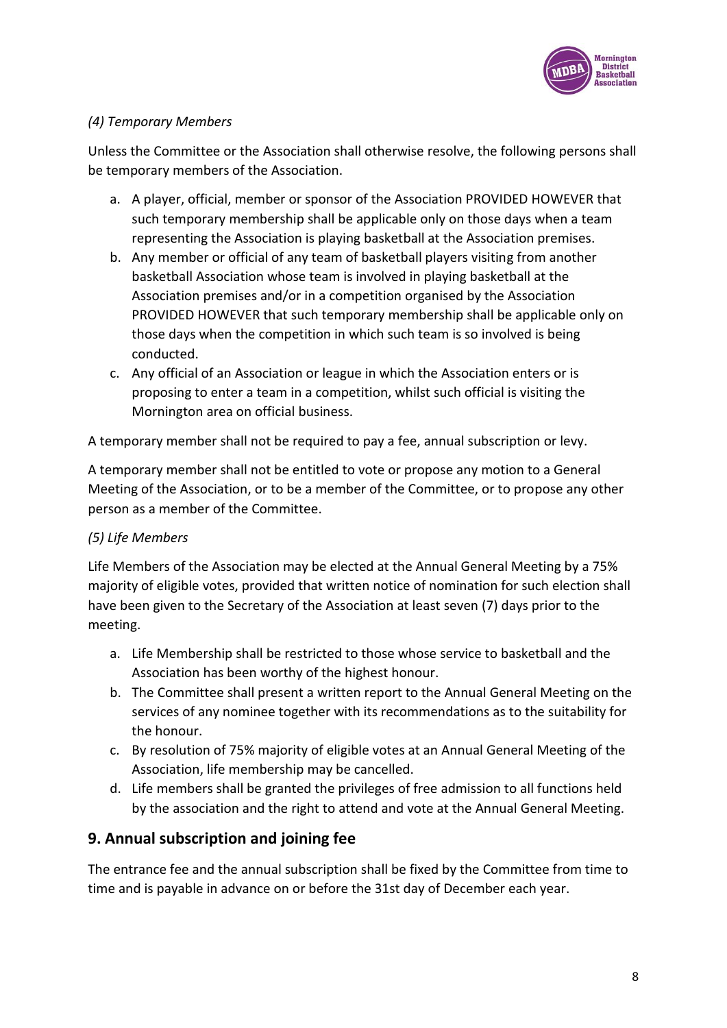

### *(4) Temporary Members*

Unless the Committee or the Association shall otherwise resolve, the following persons shall be temporary members of the Association.

- a. A player, official, member or sponsor of the Association PROVIDED HOWEVER that such temporary membership shall be applicable only on those days when a team representing the Association is playing basketball at the Association premises.
- b. Any member or official of any team of basketball players visiting from another basketball Association whose team is involved in playing basketball at the Association premises and/or in a competition organised by the Association PROVIDED HOWEVER that such temporary membership shall be applicable only on those days when the competition in which such team is so involved is being conducted.
- c. Any official of an Association or league in which the Association enters or is proposing to enter a team in a competition, whilst such official is visiting the Mornington area on official business.

A temporary member shall not be required to pay a fee, annual subscription or levy.

A temporary member shall not be entitled to vote or propose any motion to a General Meeting of the Association, or to be a member of the Committee, or to propose any other person as a member of the Committee.

### *(5) Life Members*

Life Members of the Association may be elected at the Annual General Meeting by a 75% majority of eligible votes, provided that written notice of nomination for such election shall have been given to the Secretary of the Association at least seven (7) days prior to the meeting.

- a. Life Membership shall be restricted to those whose service to basketball and the Association has been worthy of the highest honour.
- b. The Committee shall present a written report to the Annual General Meeting on the services of any nominee together with its recommendations as to the suitability for the honour.
- c. By resolution of 75% majority of eligible votes at an Annual General Meeting of the Association, life membership may be cancelled.
- d. Life members shall be granted the privileges of free admission to all functions held by the association and the right to attend and vote at the Annual General Meeting.

## **9. Annual subscription and joining fee**

The entrance fee and the annual subscription shall be fixed by the Committee from time to time and is payable in advance on or before the 31st day of December each year.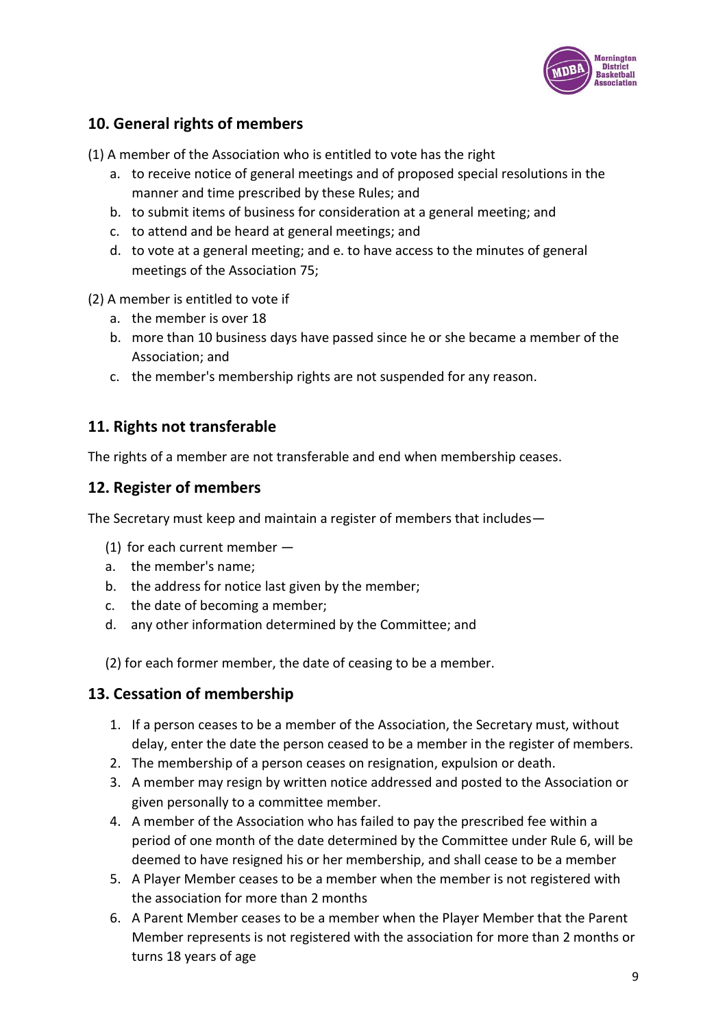

## **10. General rights of members**

(1) A member of the Association who is entitled to vote has the right

- a. to receive notice of general meetings and of proposed special resolutions in the manner and time prescribed by these Rules; and
- b. to submit items of business for consideration at a general meeting; and
- c. to attend and be heard at general meetings; and
- d. to vote at a general meeting; and e. to have access to the minutes of general meetings of the Association 75;
- (2) A member is entitled to vote if
	- a. the member is over 18
	- b. more than 10 business days have passed since he or she became a member of the Association; and
	- c. the member's membership rights are not suspended for any reason.

## **11. Rights not transferable**

The rights of a member are not transferable and end when membership ceases.

### **12. Register of members**

The Secretary must keep and maintain a register of members that includes—

- (1) for each current member —
- a. the member's name;
- b. the address for notice last given by the member;
- c. the date of becoming a member;
- d. any other information determined by the Committee; and

(2) for each former member, the date of ceasing to be a member.

### **13. Cessation of membership**

- 1. If a person ceases to be a member of the Association, the Secretary must, without delay, enter the date the person ceased to be a member in the register of members.
- 2. The membership of a person ceases on resignation, expulsion or death.
- 3. A member may resign by written notice addressed and posted to the Association or given personally to a committee member.
- 4. A member of the Association who has failed to pay the prescribed fee within a period of one month of the date determined by the Committee under Rule 6, will be deemed to have resigned his or her membership, and shall cease to be a member
- 5. A Player Member ceases to be a member when the member is not registered with the association for more than 2 months
- 6. A Parent Member ceases to be a member when the Player Member that the Parent Member represents is not registered with the association for more than 2 months or turns 18 years of age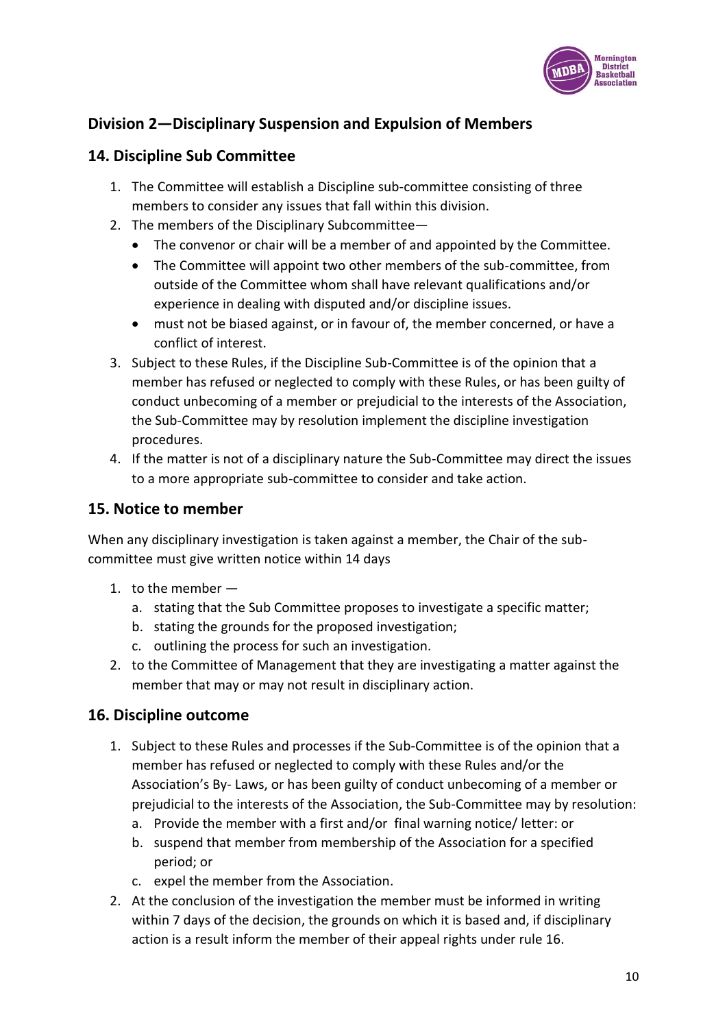

## **Division 2—Disciplinary Suspension and Expulsion of Members**

## **14. Discipline Sub Committee**

- 1. The Committee will establish a Discipline sub-committee consisting of three members to consider any issues that fall within this division.
- 2. The members of the Disciplinary Subcommittee—
	- The convenor or chair will be a member of and appointed by the Committee.
	- The Committee will appoint two other members of the sub-committee, from outside of the Committee whom shall have relevant qualifications and/or experience in dealing with disputed and/or discipline issues.
	- must not be biased against, or in favour of, the member concerned, or have a conflict of interest.
- 3. Subject to these Rules, if the Discipline Sub-Committee is of the opinion that a member has refused or neglected to comply with these Rules, or has been guilty of conduct unbecoming of a member or prejudicial to the interests of the Association, the Sub-Committee may by resolution implement the discipline investigation procedures.
- 4. If the matter is not of a disciplinary nature the Sub-Committee may direct the issues to a more appropriate sub-committee to consider and take action.

### **15. Notice to member**

When any disciplinary investigation is taken against a member, the Chair of the subcommittee must give written notice within 14 days

- 1. to the member
	- a. stating that the Sub Committee proposes to investigate a specific matter;
	- b. stating the grounds for the proposed investigation;
	- c. outlining the process for such an investigation.
- 2. to the Committee of Management that they are investigating a matter against the member that may or may not result in disciplinary action.

## **16. Discipline outcome**

- 1. Subject to these Rules and processes if the Sub-Committee is of the opinion that a member has refused or neglected to comply with these Rules and/or the Association's By- Laws, or has been guilty of conduct unbecoming of a member or prejudicial to the interests of the Association, the Sub-Committee may by resolution:
	- a. Provide the member with a first and/or final warning notice/ letter: or
	- b. suspend that member from membership of the Association for a specified period; or
	- c. expel the member from the Association.
- 2. At the conclusion of the investigation the member must be informed in writing within 7 days of the decision, the grounds on which it is based and, if disciplinary action is a result inform the member of their appeal rights under rule 16.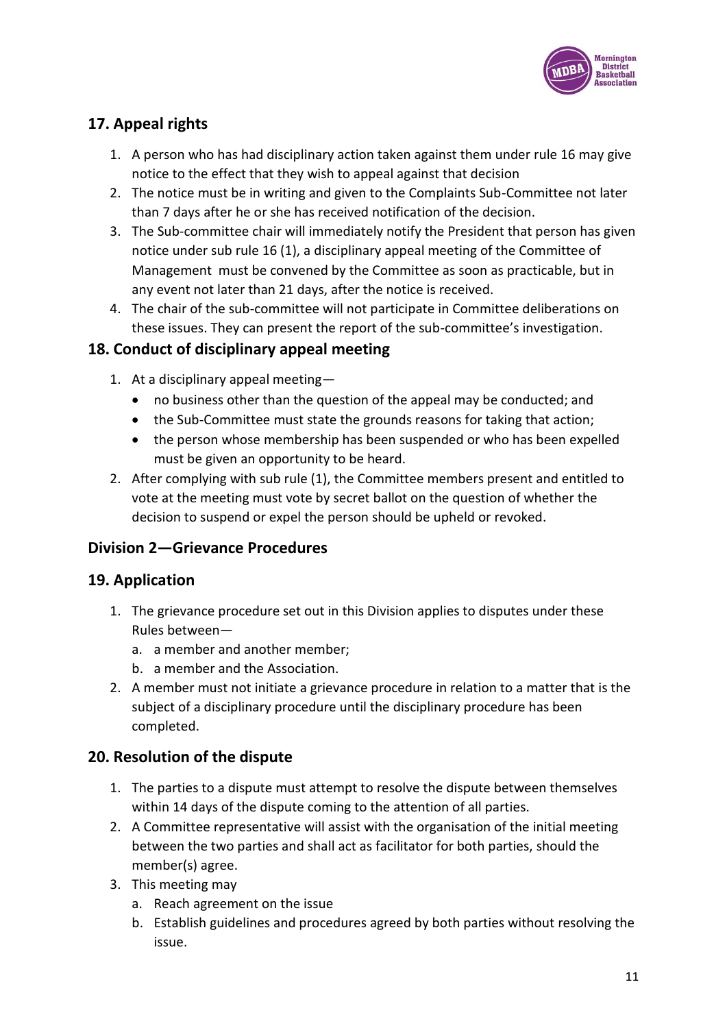

## **17. Appeal rights**

- 1. A person who has had disciplinary action taken against them under rule 16 may give notice to the effect that they wish to appeal against that decision
- 2. The notice must be in writing and given to the Complaints Sub-Committee not later than 7 days after he or she has received notification of the decision.
- 3. The Sub-committee chair will immediately notify the President that person has given notice under sub rule 16 (1), a disciplinary appeal meeting of the Committee of Management must be convened by the Committee as soon as practicable, but in any event not later than 21 days, after the notice is received.
- 4. The chair of the sub-committee will not participate in Committee deliberations on these issues. They can present the report of the sub-committee's investigation.

## **18. Conduct of disciplinary appeal meeting**

- 1. At a disciplinary appeal meeting—
	- no business other than the question of the appeal may be conducted; and
	- the Sub-Committee must state the grounds reasons for taking that action;
	- the person whose membership has been suspended or who has been expelled must be given an opportunity to be heard.
- 2. After complying with sub rule (1), the Committee members present and entitled to vote at the meeting must vote by secret ballot on the question of whether the decision to suspend or expel the person should be upheld or revoked.

## **Division 2—Grievance Procedures**

## **19. Application**

- 1. The grievance procedure set out in this Division applies to disputes under these Rules between
	- a. a member and another member;
	- b. a member and the Association.
- 2. A member must not initiate a grievance procedure in relation to a matter that is the subject of a disciplinary procedure until the disciplinary procedure has been completed.

## **20. Resolution of the dispute**

- 1. The parties to a dispute must attempt to resolve the dispute between themselves within 14 days of the dispute coming to the attention of all parties.
- 2. A Committee representative will assist with the organisation of the initial meeting between the two parties and shall act as facilitator for both parties, should the member(s) agree.
- 3. This meeting may
	- a. Reach agreement on the issue
	- b. Establish guidelines and procedures agreed by both parties without resolving the issue.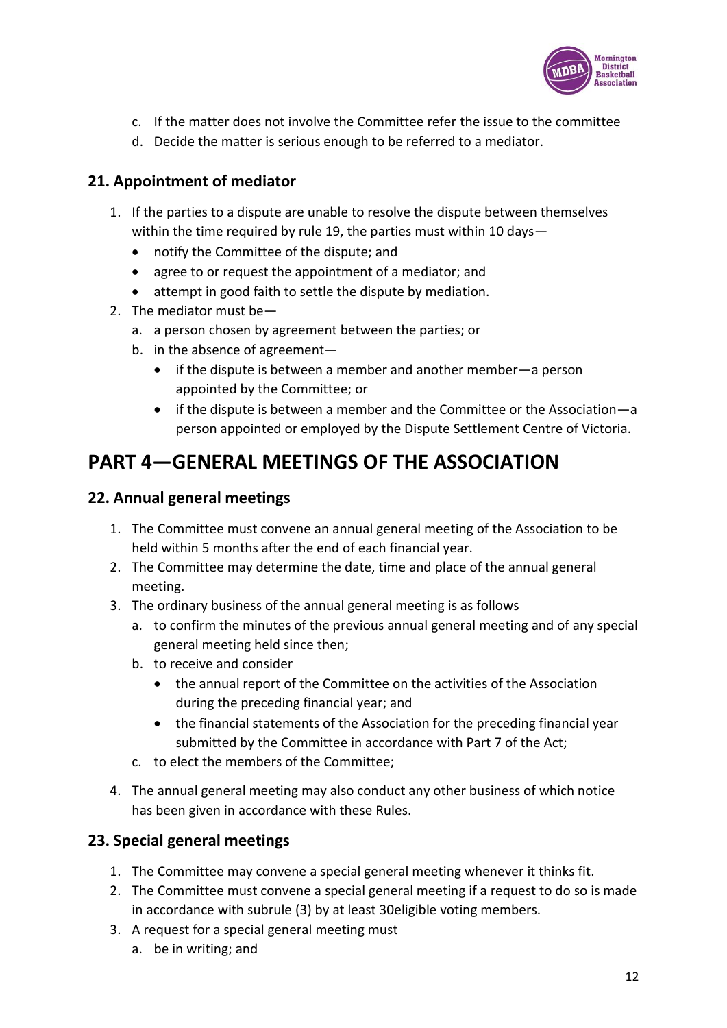

- c. If the matter does not involve the Committee refer the issue to the committee
- d. Decide the matter is serious enough to be referred to a mediator.

## **21. Appointment of mediator**

- 1. If the parties to a dispute are unable to resolve the dispute between themselves within the time required by rule 19, the parties must within 10 days—
	- notify the Committee of the dispute; and
	- agree to or request the appointment of a mediator; and
	- attempt in good faith to settle the dispute by mediation.
- 2. The mediator must be
	- a. a person chosen by agreement between the parties; or
	- b. in the absence of agreement—
		- if the dispute is between a member and another member—a person appointed by the Committee; or
		- if the dispute is between a member and the Committee or the Association—a person appointed or employed by the Dispute Settlement Centre of Victoria.

# **PART 4—GENERAL MEETINGS OF THE ASSOCIATION**

## **22. Annual general meetings**

- 1. The Committee must convene an annual general meeting of the Association to be held within 5 months after the end of each financial year.
- 2. The Committee may determine the date, time and place of the annual general meeting.
- 3. The ordinary business of the annual general meeting is as follows
	- a. to confirm the minutes of the previous annual general meeting and of any special general meeting held since then;
	- b. to receive and consider
		- the annual report of the Committee on the activities of the Association during the preceding financial year; and
		- the financial statements of the Association for the preceding financial year submitted by the Committee in accordance with Part 7 of the Act;
	- c. to elect the members of the Committee;
- 4. The annual general meeting may also conduct any other business of which notice has been given in accordance with these Rules.

## **23. Special general meetings**

- 1. The Committee may convene a special general meeting whenever it thinks fit.
- 2. The Committee must convene a special general meeting if a request to do so is made in accordance with subrule (3) by at least 30eligible voting members.
- 3. A request for a special general meeting must
	- a. be in writing; and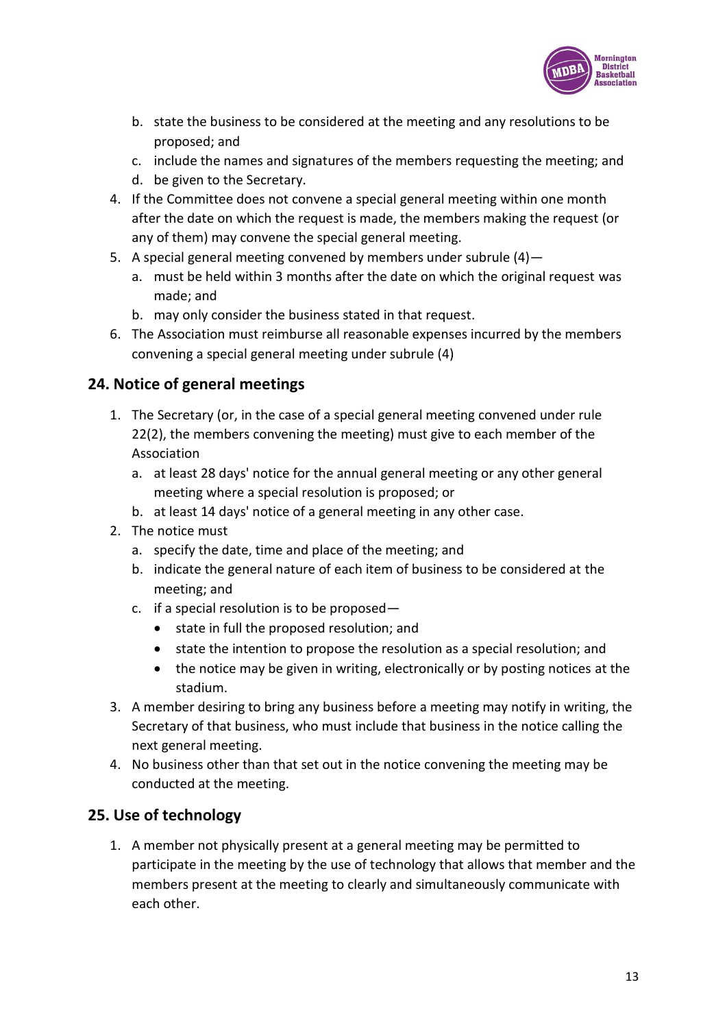

- b. state the business to be considered at the meeting and any resolutions to be proposed; and
- c. include the names and signatures of the members requesting the meeting; and
- d. be given to the Secretary.
- 4. If the Committee does not convene a special general meeting within one month after the date on which the request is made, the members making the request (or any of them) may convene the special general meeting.
- 5. A special general meeting convened by members under subrule (4)
	- a. must be held within 3 months after the date on which the original request was made; and
	- b. may only consider the business stated in that request.
- 6. The Association must reimburse all reasonable expenses incurred by the members convening a special general meeting under subrule (4)

### **24. Notice of general meetings**

- 1. The Secretary (or, in the case of a special general meeting convened under rule 22(2), the members convening the meeting) must give to each member of the Association
	- a. at least 28 days' notice for the annual general meeting or any other general meeting where a special resolution is proposed; or
	- b. at least 14 days' notice of a general meeting in any other case.
- 2. The notice must
	- a. specify the date, time and place of the meeting; and
	- b. indicate the general nature of each item of business to be considered at the meeting; and
	- c. if a special resolution is to be proposed—
		- state in full the proposed resolution; and
		- state the intention to propose the resolution as a special resolution; and
		- the notice may be given in writing, electronically or by posting notices at the stadium.
- 3. A member desiring to bring any business before a meeting may notify in writing, the Secretary of that business, who must include that business in the notice calling the next general meeting.
- 4. No business other than that set out in the notice convening the meeting may be conducted at the meeting.

### **25. Use of technology**

1. A member not physically present at a general meeting may be permitted to participate in the meeting by the use of technology that allows that member and the members present at the meeting to clearly and simultaneously communicate with each other.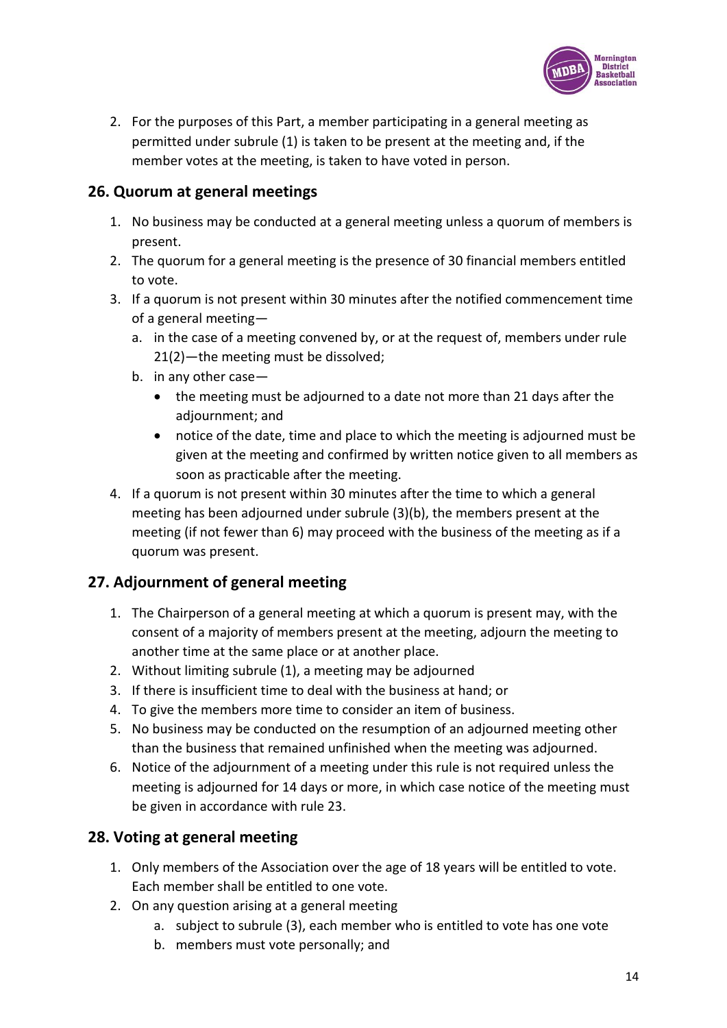

2. For the purposes of this Part, a member participating in a general meeting as permitted under subrule (1) is taken to be present at the meeting and, if the member votes at the meeting, is taken to have voted in person.

### **26. Quorum at general meetings**

- 1. No business may be conducted at a general meeting unless a quorum of members is present.
- 2. The quorum for a general meeting is the presence of 30 financial members entitled to vote.
- 3. If a quorum is not present within 30 minutes after the notified commencement time of a general meeting
	- a. in the case of a meeting convened by, or at the request of, members under rule 21(2)—the meeting must be dissolved;
	- b. in any other case—
		- the meeting must be adjourned to a date not more than 21 days after the adiournment: and
		- notice of the date, time and place to which the meeting is adjourned must be given at the meeting and confirmed by written notice given to all members as soon as practicable after the meeting.
- 4. If a quorum is not present within 30 minutes after the time to which a general meeting has been adjourned under subrule (3)(b), the members present at the meeting (if not fewer than 6) may proceed with the business of the meeting as if a quorum was present.

## **27. Adjournment of general meeting**

- 1. The Chairperson of a general meeting at which a quorum is present may, with the consent of a majority of members present at the meeting, adjourn the meeting to another time at the same place or at another place.
- 2. Without limiting subrule (1), a meeting may be adjourned
- 3. If there is insufficient time to deal with the business at hand; or
- 4. To give the members more time to consider an item of business.
- 5. No business may be conducted on the resumption of an adjourned meeting other than the business that remained unfinished when the meeting was adjourned.
- 6. Notice of the adjournment of a meeting under this rule is not required unless the meeting is adjourned for 14 days or more, in which case notice of the meeting must be given in accordance with rule 23.

### **28. Voting at general meeting**

- 1. Only members of the Association over the age of 18 years will be entitled to vote. Each member shall be entitled to one vote.
- 2. On any question arising at a general meeting
	- a. subject to subrule (3), each member who is entitled to vote has one vote
	- b. members must vote personally; and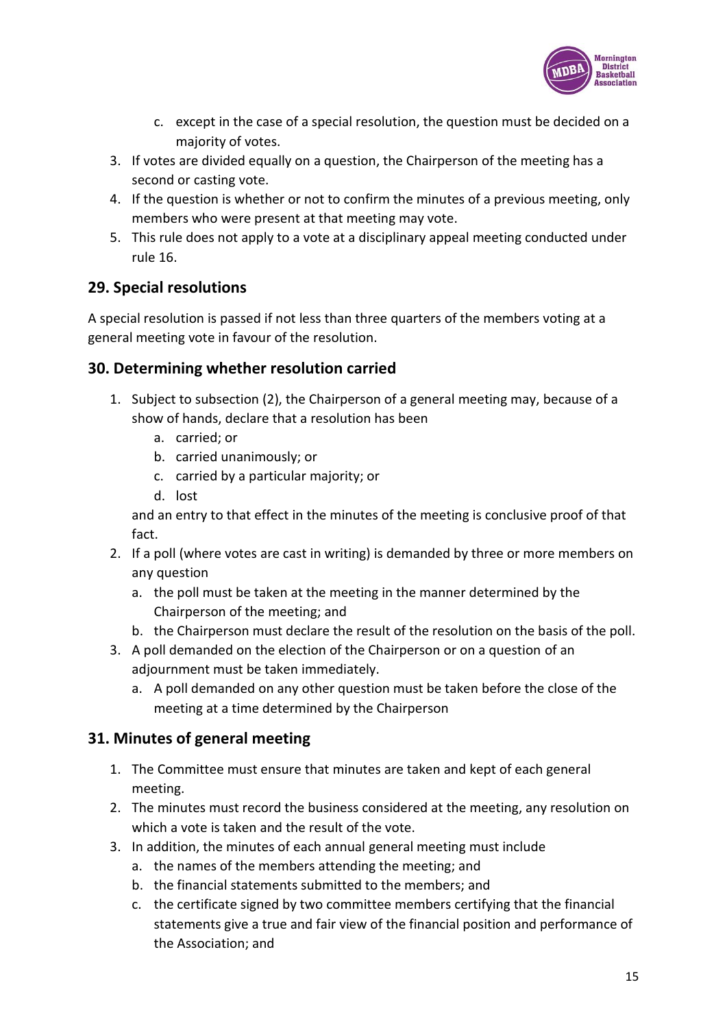

- c. except in the case of a special resolution, the question must be decided on a majority of votes.
- 3. If votes are divided equally on a question, the Chairperson of the meeting has a second or casting vote.
- 4. If the question is whether or not to confirm the minutes of a previous meeting, only members who were present at that meeting may vote.
- 5. This rule does not apply to a vote at a disciplinary appeal meeting conducted under rule 16.

## **29. Special resolutions**

A special resolution is passed if not less than three quarters of the members voting at a general meeting vote in favour of the resolution.

## **30. Determining whether resolution carried**

- 1. Subject to subsection (2), the Chairperson of a general meeting may, because of a show of hands, declare that a resolution has been
	- a. carried; or
	- b. carried unanimously; or
	- c. carried by a particular majority; or
	- d. lost

and an entry to that effect in the minutes of the meeting is conclusive proof of that fact.

- 2. If a poll (where votes are cast in writing) is demanded by three or more members on any question
	- a. the poll must be taken at the meeting in the manner determined by the Chairperson of the meeting; and
	- b. the Chairperson must declare the result of the resolution on the basis of the poll.
- 3. A poll demanded on the election of the Chairperson or on a question of an adjournment must be taken immediately.
	- a. A poll demanded on any other question must be taken before the close of the meeting at a time determined by the Chairperson

## **31. Minutes of general meeting**

- 1. The Committee must ensure that minutes are taken and kept of each general meeting.
- 2. The minutes must record the business considered at the meeting, any resolution on which a vote is taken and the result of the vote.
- 3. In addition, the minutes of each annual general meeting must include
	- a. the names of the members attending the meeting; and
	- b. the financial statements submitted to the members; and
	- c. the certificate signed by two committee members certifying that the financial statements give a true and fair view of the financial position and performance of the Association; and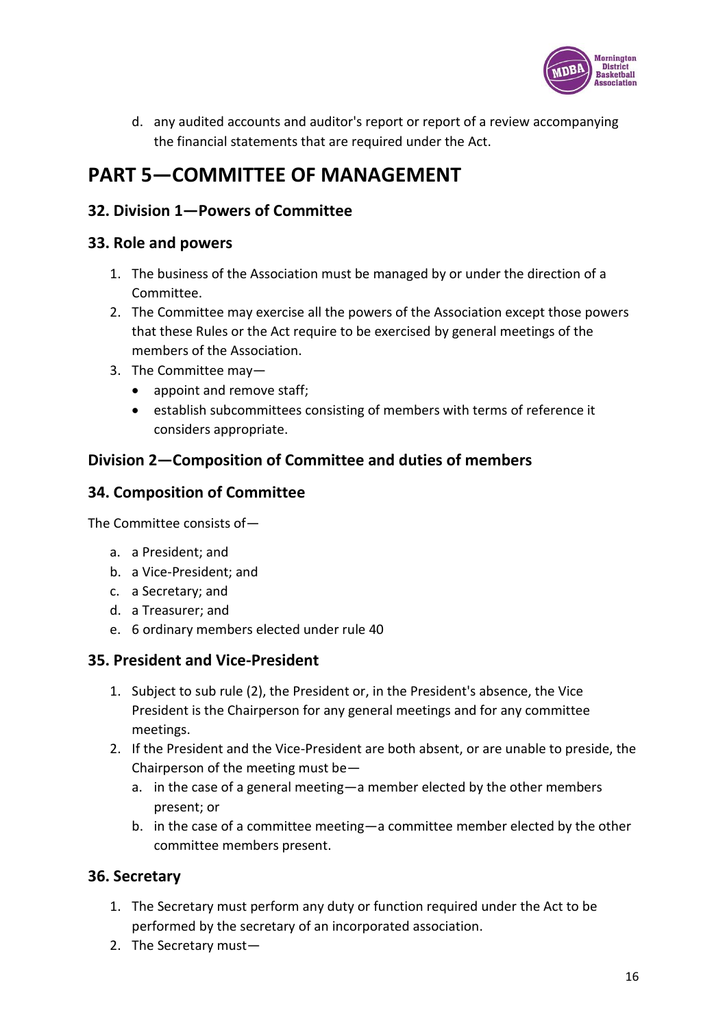

d. any audited accounts and auditor's report or report of a review accompanying the financial statements that are required under the Act.

# **PART 5—COMMITTEE OF MANAGEMENT**

## **32. Division 1—Powers of Committee**

### **33. Role and powers**

- 1. The business of the Association must be managed by or under the direction of a Committee.
- 2. The Committee may exercise all the powers of the Association except those powers that these Rules or the Act require to be exercised by general meetings of the members of the Association.
- 3. The Committee may—
	- appoint and remove staff;
	- establish subcommittees consisting of members with terms of reference it considers appropriate.

## **Division 2—Composition of Committee and duties of members**

## **34. Composition of Committee**

The Committee consists of—

- a. a President; and
- b. a Vice-President; and
- c. a Secretary; and
- d. a Treasurer; and
- e. 6 ordinary members elected under rule 40

### **35. President and Vice-President**

- 1. Subject to sub rule (2), the President or, in the President's absence, the Vice President is the Chairperson for any general meetings and for any committee meetings.
- 2. If the President and the Vice-President are both absent, or are unable to preside, the Chairperson of the meeting must be
	- a. in the case of a general meeting—a member elected by the other members present; or
	- b. in the case of a committee meeting—a committee member elected by the other committee members present.

## **36. Secretary**

- 1. The Secretary must perform any duty or function required under the Act to be performed by the secretary of an incorporated association.
- 2. The Secretary must—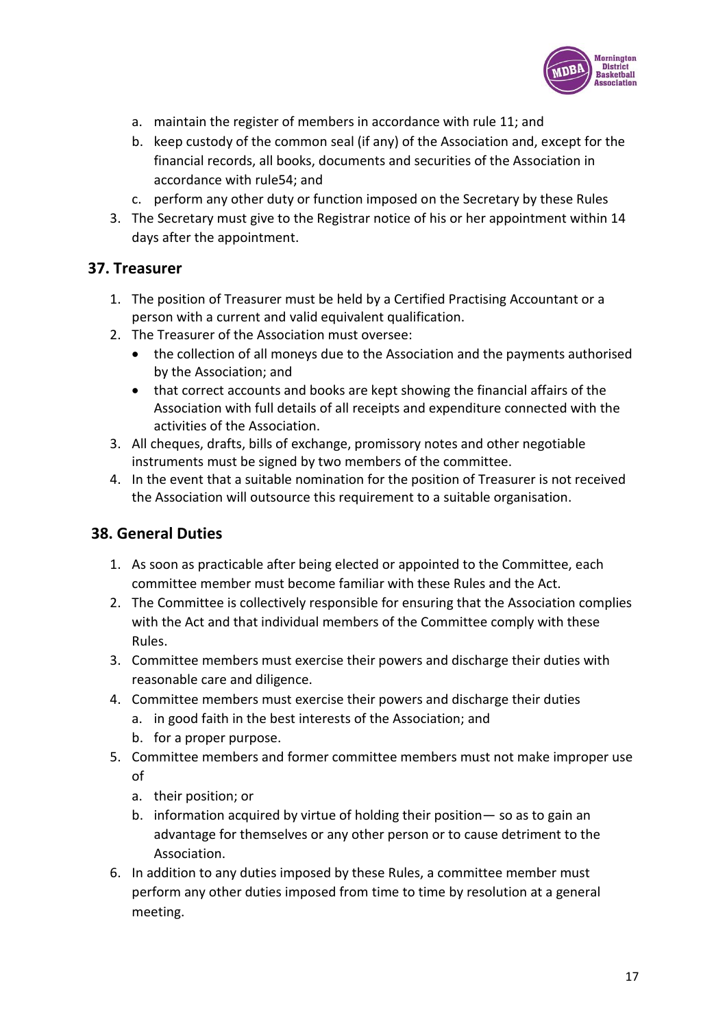

- a. maintain the register of members in accordance with rule 11; and
- b. keep custody of the common seal (if any) of the Association and, except for the financial records, all books, documents and securities of the Association in accordance with rule54; and
- c. perform any other duty or function imposed on the Secretary by these Rules
- 3. The Secretary must give to the Registrar notice of his or her appointment within 14 days after the appointment.

### **37. Treasurer**

- 1. The position of Treasurer must be held by a Certified Practising Accountant or a person with a current and valid equivalent qualification.
- 2. The Treasurer of the Association must oversee:
	- the collection of all moneys due to the Association and the payments authorised by the Association; and
	- that correct accounts and books are kept showing the financial affairs of the Association with full details of all receipts and expenditure connected with the activities of the Association.
- 3. All cheques, drafts, bills of exchange, promissory notes and other negotiable instruments must be signed by two members of the committee.
- 4. In the event that a suitable nomination for the position of Treasurer is not received the Association will outsource this requirement to a suitable organisation.

## **38. General Duties**

- 1. As soon as practicable after being elected or appointed to the Committee, each committee member must become familiar with these Rules and the Act.
- 2. The Committee is collectively responsible for ensuring that the Association complies with the Act and that individual members of the Committee comply with these Rules.
- 3. Committee members must exercise their powers and discharge their duties with reasonable care and diligence.
- 4. Committee members must exercise their powers and discharge their duties
	- a. in good faith in the best interests of the Association; and
	- b. for a proper purpose.
- 5. Committee members and former committee members must not make improper use of
	- a. their position; or
	- b. information acquired by virtue of holding their position— so as to gain an advantage for themselves or any other person or to cause detriment to the Association.
- 6. In addition to any duties imposed by these Rules, a committee member must perform any other duties imposed from time to time by resolution at a general meeting.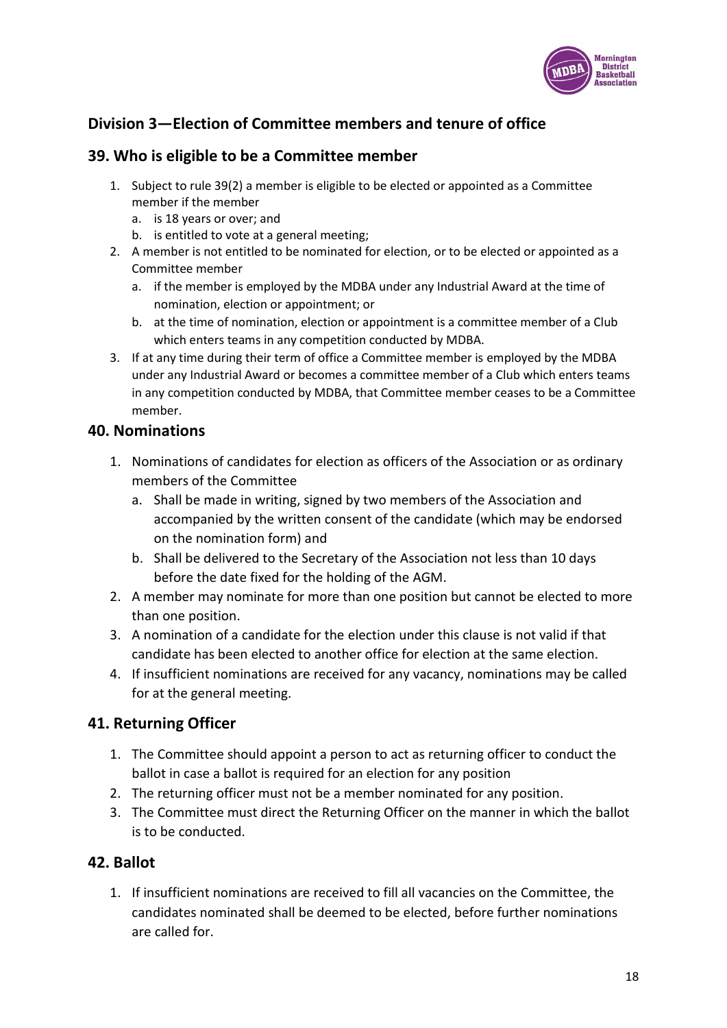

## **Division 3—Election of Committee members and tenure of office**

### **39. Who is eligible to be a Committee member**

- 1. Subject to rule 39(2) a member is eligible to be elected or appointed as a Committee member if the member
	- a. is 18 years or over; and
	- b. is entitled to vote at a general meeting;
- 2. A member is not entitled to be nominated for election, or to be elected or appointed as a Committee member
	- a. if the member is employed by the MDBA under any Industrial Award at the time of nomination, election or appointment; or
	- b. at the time of nomination, election or appointment is a committee member of a Club which enters teams in any competition conducted by MDBA.
- 3. If at any time during their term of office a Committee member is employed by the MDBA under any Industrial Award or becomes a committee member of a Club which enters teams in any competition conducted by MDBA, that Committee member ceases to be a Committee member.

#### **40. Nominations**

- 1. Nominations of candidates for election as officers of the Association or as ordinary members of the Committee
	- a. Shall be made in writing, signed by two members of the Association and accompanied by the written consent of the candidate (which may be endorsed on the nomination form) and
	- b. Shall be delivered to the Secretary of the Association not less than 10 days before the date fixed for the holding of the AGM.
- 2. A member may nominate for more than one position but cannot be elected to more than one position.
- 3. A nomination of a candidate for the election under this clause is not valid if that candidate has been elected to another office for election at the same election.
- 4. If insufficient nominations are received for any vacancy, nominations may be called for at the general meeting.

### **41. Returning Officer**

- 1. The Committee should appoint a person to act as returning officer to conduct the ballot in case a ballot is required for an election for any position
- 2. The returning officer must not be a member nominated for any position.
- 3. The Committee must direct the Returning Officer on the manner in which the ballot is to be conducted.

### **42. Ballot**

1. If insufficient nominations are received to fill all vacancies on the Committee, the candidates nominated shall be deemed to be elected, before further nominations are called for.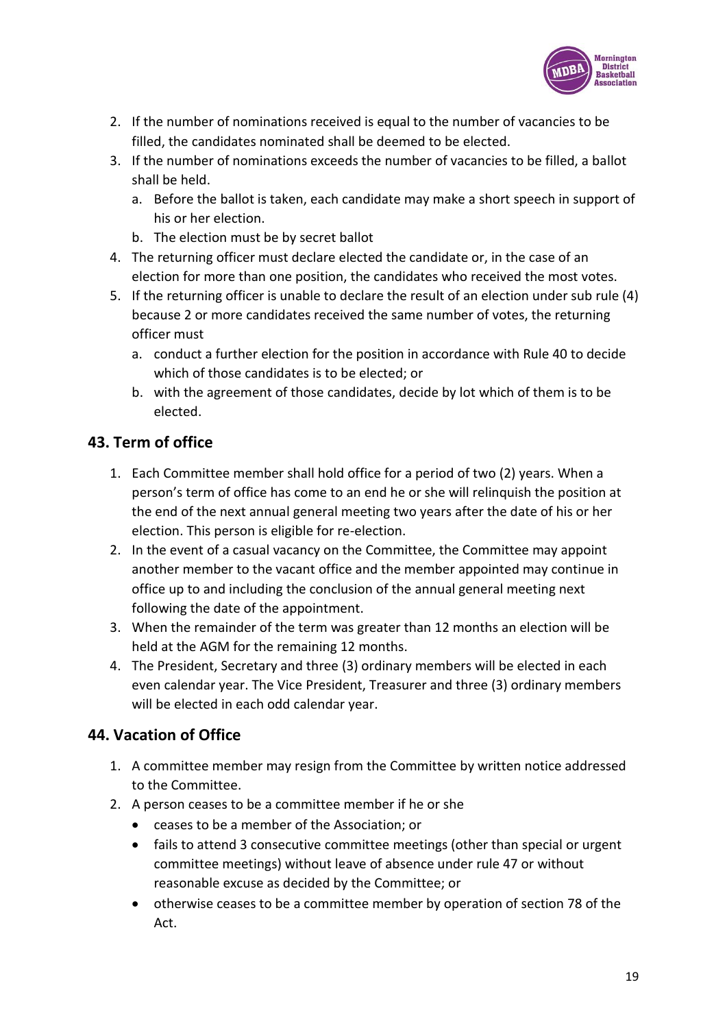

- 2. If the number of nominations received is equal to the number of vacancies to be filled, the candidates nominated shall be deemed to be elected.
- 3. If the number of nominations exceeds the number of vacancies to be filled, a ballot shall be held.
	- a. Before the ballot is taken, each candidate may make a short speech in support of his or her election.
	- b. The election must be by secret ballot
- 4. The returning officer must declare elected the candidate or, in the case of an election for more than one position, the candidates who received the most votes.
- 5. If the returning officer is unable to declare the result of an election under sub rule (4) because 2 or more candidates received the same number of votes, the returning officer must
	- a. conduct a further election for the position in accordance with Rule 40 to decide which of those candidates is to be elected; or
	- b. with the agreement of those candidates, decide by lot which of them is to be elected.

## **43. Term of office**

- 1. Each Committee member shall hold office for a period of two (2) years. When a person's term of office has come to an end he or she will relinquish the position at the end of the next annual general meeting two years after the date of his or her election. This person is eligible for re-election.
- 2. In the event of a casual vacancy on the Committee, the Committee may appoint another member to the vacant office and the member appointed may continue in office up to and including the conclusion of the annual general meeting next following the date of the appointment.
- 3. When the remainder of the term was greater than 12 months an election will be held at the AGM for the remaining 12 months.
- 4. The President, Secretary and three (3) ordinary members will be elected in each even calendar year. The Vice President, Treasurer and three (3) ordinary members will be elected in each odd calendar year.

## **44. Vacation of Office**

- 1. A committee member may resign from the Committee by written notice addressed to the Committee.
- 2. A person ceases to be a committee member if he or she
	- ceases to be a member of the Association; or
	- fails to attend 3 consecutive committee meetings (other than special or urgent committee meetings) without leave of absence under rule 47 or without reasonable excuse as decided by the Committee; or
	- otherwise ceases to be a committee member by operation of section 78 of the Act.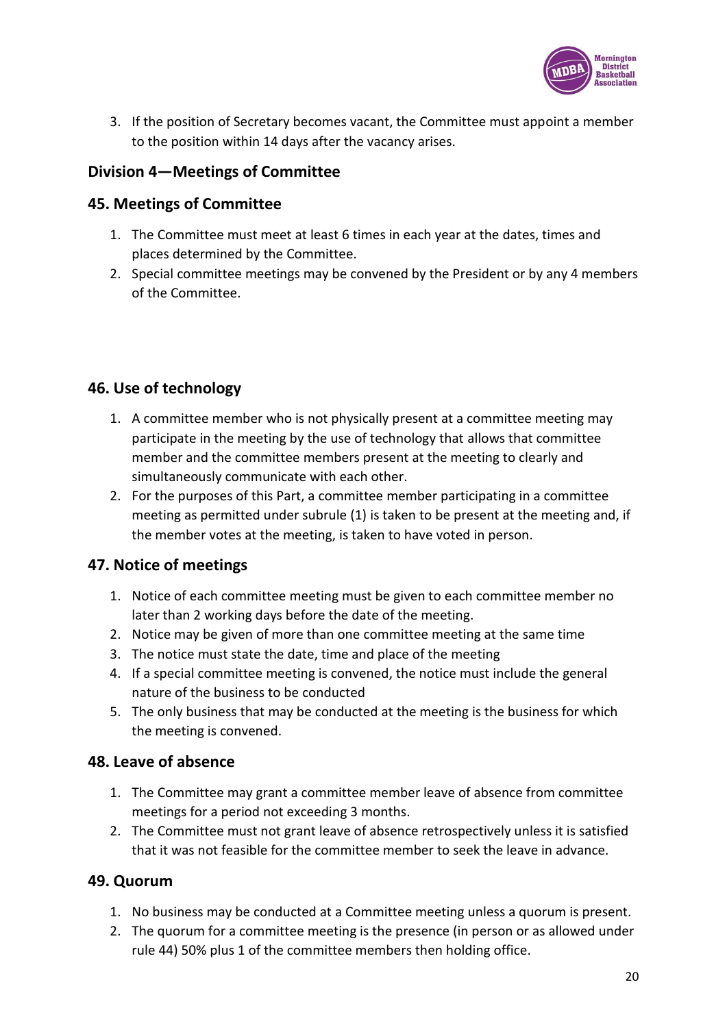

3. If the position of Secretary becomes vacant, the Committee must appoint a member to the position within 14 days after the vacancy arises.

## **Division 4—Meetings of Committee**

### **45. Meetings of Committee**

- 1. The Committee must meet at least 6 times in each year at the dates, times and places determined by the Committee.
- 2. Special committee meetings may be convened by the President or by any 4 members of the Committee.

## **46. Use of technology**

- 1. A committee member who is not physically present at a committee meeting may participate in the meeting by the use of technology that allows that committee member and the committee members present at the meeting to clearly and simultaneously communicate with each other.
- 2. For the purposes of this Part, a committee member participating in a committee meeting as permitted under subrule (1) is taken to be present at the meeting and, if the member votes at the meeting, is taken to have voted in person.

## **47. Notice of meetings**

- 1. Notice of each committee meeting must be given to each committee member no later than 2 working days before the date of the meeting.
- 2. Notice may be given of more than one committee meeting at the same time
- 3. The notice must state the date, time and place of the meeting
- 4. If a special committee meeting is convened, the notice must include the general nature of the business to be conducted
- 5. The only business that may be conducted at the meeting is the business for which the meeting is convened.

### **48. Leave of absence**

- 1. The Committee may grant a committee member leave of absence from committee meetings for a period not exceeding 3 months.
- 2. The Committee must not grant leave of absence retrospectively unless it is satisfied that it was not feasible for the committee member to seek the leave in advance.

### **49. Quorum**

- 1. No business may be conducted at a Committee meeting unless a quorum is present.
- 2. The quorum for a committee meeting is the presence (in person or as allowed under rule 44) 50% plus 1 of the committee members then holding office.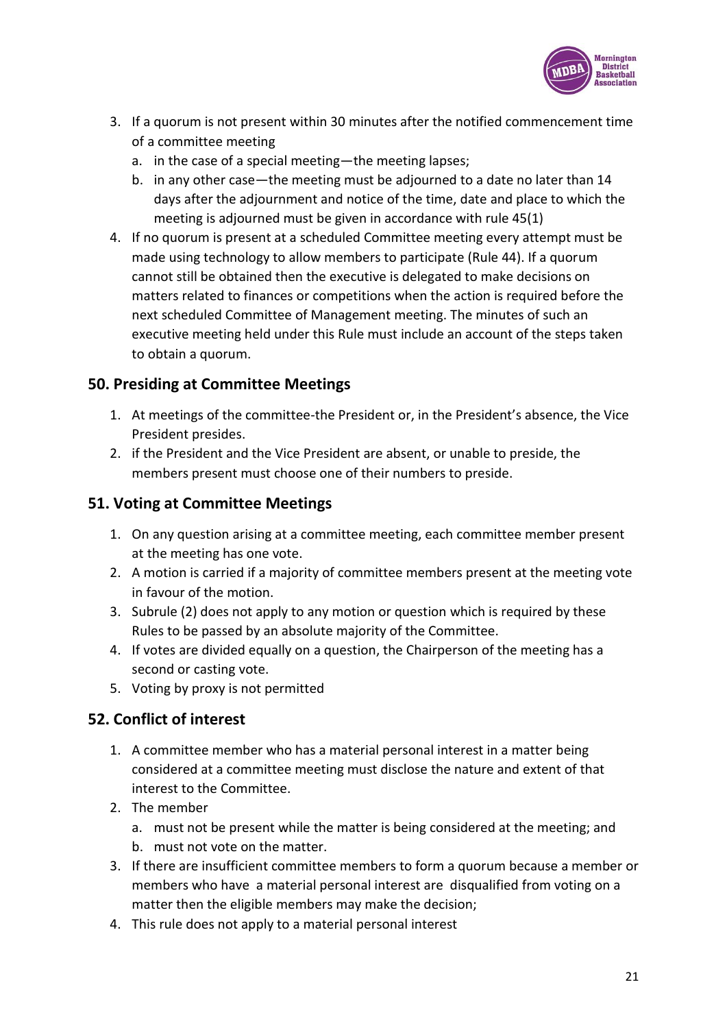

- 3. If a quorum is not present within 30 minutes after the notified commencement time of a committee meeting
	- a. in the case of a special meeting—the meeting lapses;
	- b. in any other case—the meeting must be adjourned to a date no later than 14 days after the adjournment and notice of the time, date and place to which the meeting is adjourned must be given in accordance with rule 45(1)
- 4. If no quorum is present at a scheduled Committee meeting every attempt must be made using technology to allow members to participate (Rule 44). If a quorum cannot still be obtained then the executive is delegated to make decisions on matters related to finances or competitions when the action is required before the next scheduled Committee of Management meeting. The minutes of such an executive meeting held under this Rule must include an account of the steps taken to obtain a quorum.

### **50. Presiding at Committee Meetings**

- 1. At meetings of the committee-the President or, in the President's absence, the Vice President presides.
- 2. if the President and the Vice President are absent, or unable to preside, the members present must choose one of their numbers to preside.

### **51. Voting at Committee Meetings**

- 1. On any question arising at a committee meeting, each committee member present at the meeting has one vote.
- 2. A motion is carried if a majority of committee members present at the meeting vote in favour of the motion.
- 3. Subrule (2) does not apply to any motion or question which is required by these Rules to be passed by an absolute majority of the Committee.
- 4. If votes are divided equally on a question, the Chairperson of the meeting has a second or casting vote.
- 5. Voting by proxy is not permitted

## **52. Conflict of interest**

- 1. A committee member who has a material personal interest in a matter being considered at a committee meeting must disclose the nature and extent of that interest to the Committee.
- 2. The member
	- a. must not be present while the matter is being considered at the meeting; and
	- b. must not vote on the matter.
- 3. If there are insufficient committee members to form a quorum because a member or members who have a material personal interest are disqualified from voting on a matter then the eligible members may make the decision;
- 4. This rule does not apply to a material personal interest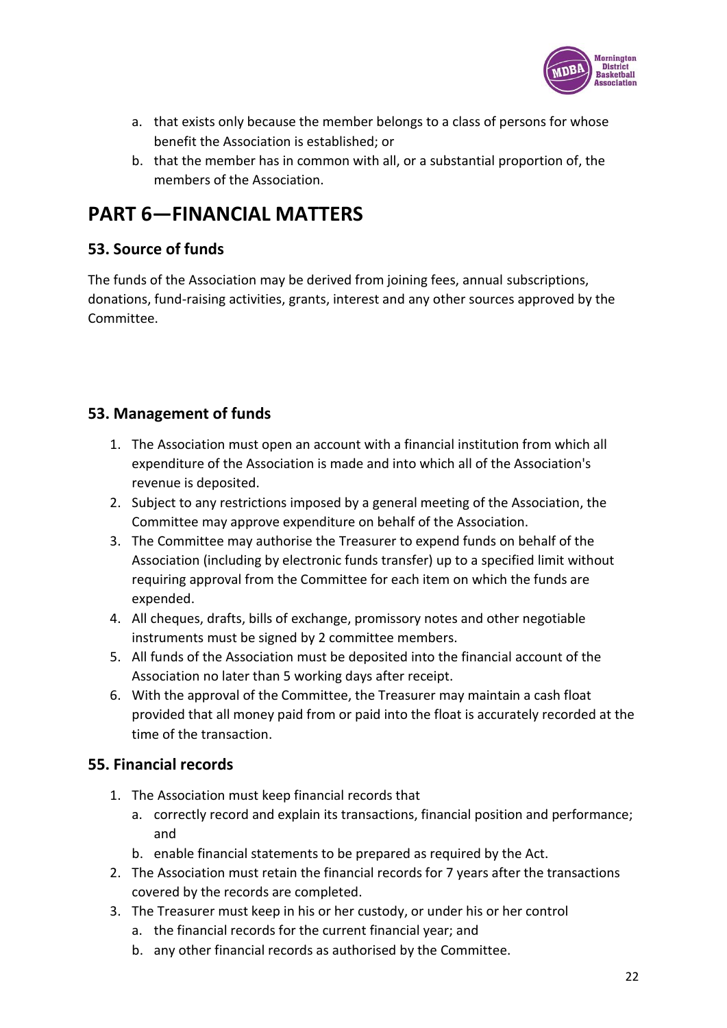

- a. that exists only because the member belongs to a class of persons for whose benefit the Association is established; or
- b. that the member has in common with all, or a substantial proportion of, the members of the Association.

# **PART 6—FINANCIAL MATTERS**

## **53. Source of funds**

The funds of the Association may be derived from joining fees, annual subscriptions, donations, fund-raising activities, grants, interest and any other sources approved by the Committee.

## **53. Management of funds**

- 1. The Association must open an account with a financial institution from which all expenditure of the Association is made and into which all of the Association's revenue is deposited.
- 2. Subject to any restrictions imposed by a general meeting of the Association, the Committee may approve expenditure on behalf of the Association.
- 3. The Committee may authorise the Treasurer to expend funds on behalf of the Association (including by electronic funds transfer) up to a specified limit without requiring approval from the Committee for each item on which the funds are expended.
- 4. All cheques, drafts, bills of exchange, promissory notes and other negotiable instruments must be signed by 2 committee members.
- 5. All funds of the Association must be deposited into the financial account of the Association no later than 5 working days after receipt.
- 6. With the approval of the Committee, the Treasurer may maintain a cash float provided that all money paid from or paid into the float is accurately recorded at the time of the transaction.

## **55. Financial records**

- 1. The Association must keep financial records that
	- a. correctly record and explain its transactions, financial position and performance; and
	- b. enable financial statements to be prepared as required by the Act.
- 2. The Association must retain the financial records for 7 years after the transactions covered by the records are completed.
- 3. The Treasurer must keep in his or her custody, or under his or her control
	- a. the financial records for the current financial year; and
	- b. any other financial records as authorised by the Committee.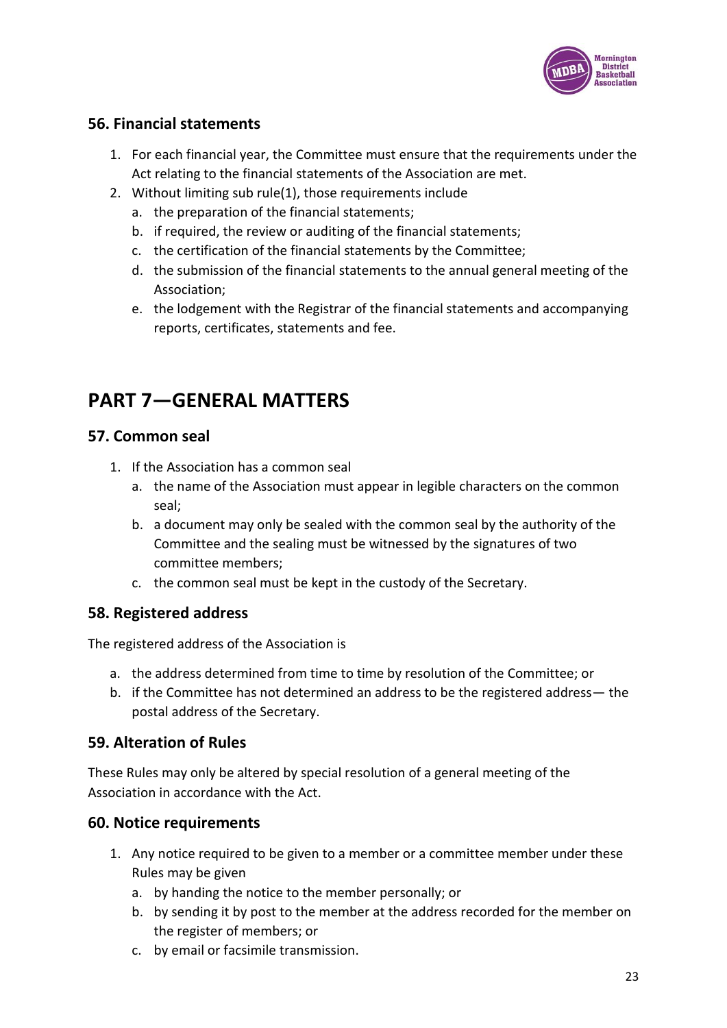

### **56. Financial statements**

- 1. For each financial year, the Committee must ensure that the requirements under the Act relating to the financial statements of the Association are met.
- 2. Without limiting sub rule(1), those requirements include
	- a. the preparation of the financial statements;
	- b. if required, the review or auditing of the financial statements;
	- c. the certification of the financial statements by the Committee;
	- d. the submission of the financial statements to the annual general meeting of the Association;
	- e. the lodgement with the Registrar of the financial statements and accompanying reports, certificates, statements and fee.

# **PART 7—GENERAL MATTERS**

### **57. Common seal**

- 1. If the Association has a common seal
	- a. the name of the Association must appear in legible characters on the common seal;
	- b. a document may only be sealed with the common seal by the authority of the Committee and the sealing must be witnessed by the signatures of two committee members;
	- c. the common seal must be kept in the custody of the Secretary.

### **58. Registered address**

The registered address of the Association is

- a. the address determined from time to time by resolution of the Committee; or
- b. if the Committee has not determined an address to be the registered address— the postal address of the Secretary.

### **59. Alteration of Rules**

These Rules may only be altered by special resolution of a general meeting of the Association in accordance with the Act.

### **60. Notice requirements**

- 1. Any notice required to be given to a member or a committee member under these Rules may be given
	- a. by handing the notice to the member personally; or
	- b. by sending it by post to the member at the address recorded for the member on the register of members; or
	- c. by email or facsimile transmission.